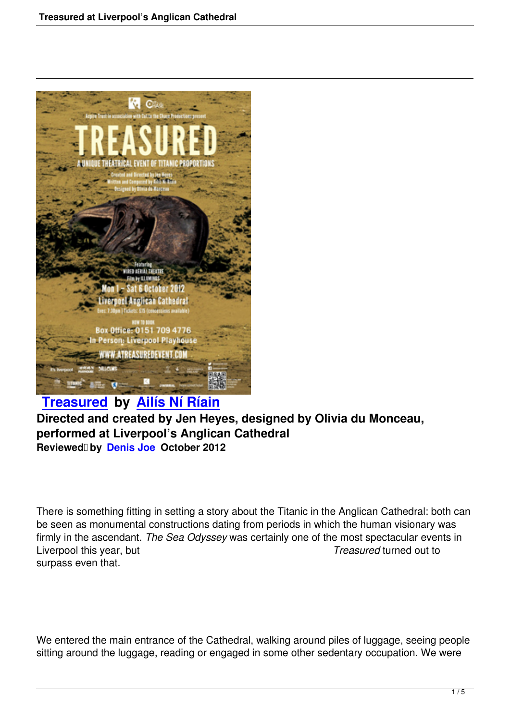

## **Treasured by Ailís Ní Ríain Directed and created by Jen Heyes, designed by Olivia du Monceau, performed at Liverpool's Anglican Cathedral [Reviewed by D](treasured-liverpool-anglican-cathedral.html)enis [Joe October 2012](http://ailis.info/)**

There is something fitting in setting a story about the Titanic in the Anglican Cathedral: both can be seen as monumental constructions dating from periods in which the human visionary was firmly in the ascendant. *The Sea Odyssey* was certainly one of the most spectacular events in Liverpool this year, but *Treasured* turned out to surpass even that.

We entered the main entrance of the Cathedral, walking around piles of luggage, seeing people sitting around the luggage, reading or engaged in some other sedentary occupation. We were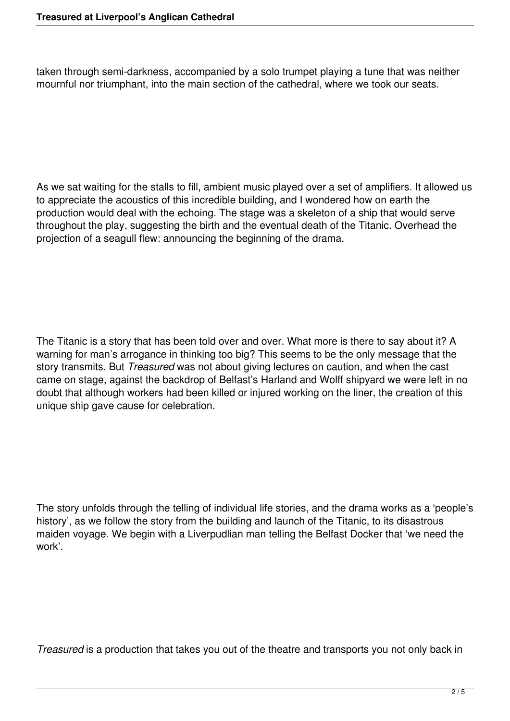taken through semi-darkness, accompanied by a solo trumpet playing a tune that was neither mournful nor triumphant, into the main section of the cathedral, where we took our seats.

As we sat waiting for the stalls to fill, ambient music played over a set of amplifiers. It allowed us to appreciate the acoustics of this incredible building, and I wondered how on earth the production would deal with the echoing. The stage was a skeleton of a ship that would serve throughout the play, suggesting the birth and the eventual death of the Titanic. Overhead the projection of a seagull flew: announcing the beginning of the drama.

The Titanic is a story that has been told over and over. What more is there to say about it? A warning for man's arrogance in thinking too big? This seems to be the only message that the story transmits. But *Treasured* was not about giving lectures on caution, and when the cast came on stage, against the backdrop of Belfast's Harland and Wolff shipyard we were left in no doubt that although workers had been killed or injured working on the liner, the creation of this unique ship gave cause for celebration.

The story unfolds through the telling of individual life stories, and the drama works as a 'people's history', as we follow the story from the building and launch of the Titanic, to its disastrous maiden voyage. We begin with a Liverpudlian man telling the Belfast Docker that 'we need the work'.

*Treasured* is a production that takes you out of the theatre and transports you not only back in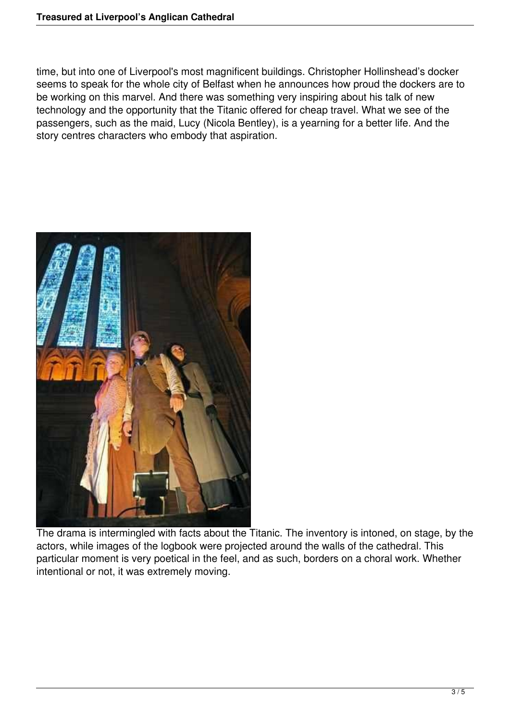time, but into one of Liverpool's most magnificent buildings. Christopher Hollinshead's docker seems to speak for the whole city of Belfast when he announces how proud the dockers are to be working on this marvel. And there was something very inspiring about his talk of new technology and the opportunity that the Titanic offered for cheap travel. What we see of the passengers, such as the maid, Lucy (Nicola Bentley), is a yearning for a better life. And the story centres characters who embody that aspiration.



The drama is intermingled with facts about the Titanic. The inventory is intoned, on stage, by the actors, while images of the logbook were projected around the walls of the cathedral. This particular moment is very poetical in the feel, and as such, borders on a choral work. Whether intentional or not, it was extremely moving.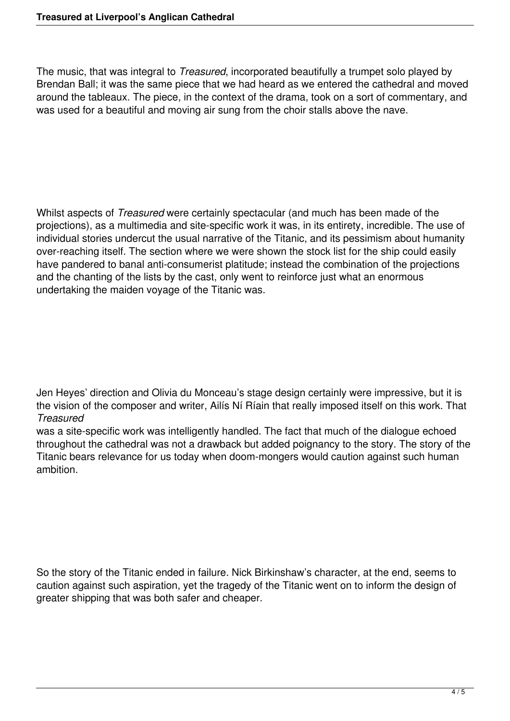The music, that was integral to *Treasured*, incorporated beautifully a trumpet solo played by Brendan Ball; it was the same piece that we had heard as we entered the cathedral and moved around the tableaux. The piece, in the context of the drama, took on a sort of commentary, and was used for a beautiful and moving air sung from the choir stalls above the nave.

Whilst aspects of *Treasured* were certainly spectacular (and much has been made of the projections), as a multimedia and site-specific work it was, in its entirety, incredible. The use of individual stories undercut the usual narrative of the Titanic, and its pessimism about humanity over-reaching itself. The section where we were shown the stock list for the ship could easily have pandered to banal anti-consumerist platitude; instead the combination of the projections and the chanting of the lists by the cast, only went to reinforce just what an enormous undertaking the maiden voyage of the Titanic was.

Jen Heyes' direction and Olivia du Monceau's stage design certainly were impressive, but it is the vision of the composer and writer, Ailís Ní Ríain that really imposed itself on this work. That *Treasured* 

was a site-specific work was intelligently handled. The fact that much of the dialogue echoed throughout the cathedral was not a drawback but added poignancy to the story. The story of the Titanic bears relevance for us today when doom-mongers would caution against such human ambition.

So the story of the Titanic ended in failure. Nick Birkinshaw's character, at the end, seems to caution against such aspiration, yet the tragedy of the Titanic went on to inform the design of greater shipping that was both safer and cheaper.